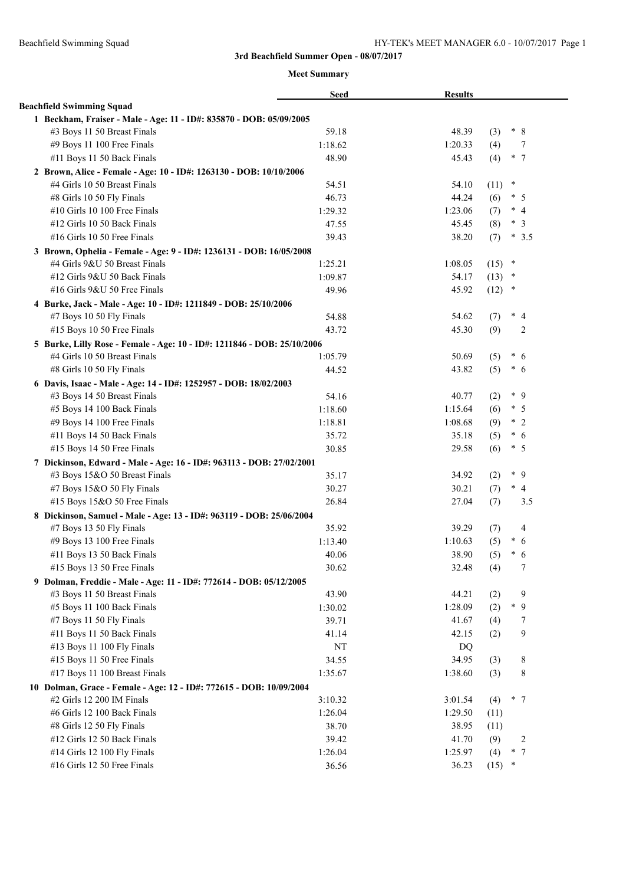|                                                                         | <b>Seed</b> | <b>Results</b> |                |                          |
|-------------------------------------------------------------------------|-------------|----------------|----------------|--------------------------|
| <b>Beachfield Swimming Squad</b>                                        |             |                |                |                          |
| 1 Beckham, Fraiser - Male - Age: 11 - ID#: 835870 - DOB: 05/09/2005     |             |                |                |                          |
| #3 Boys 11 50 Breast Finals                                             | 59.18       | 48.39          | (3)            | $* 8$                    |
| #9 Boys 11 100 Free Finals                                              | 1:18.62     | 1:20.33        | (4)            | 7                        |
| #11 Boys 11 50 Back Finals                                              | 48.90       | 45.43          | (4)            | $*$ 7                    |
| 2 Brown, Alice - Female - Age: 10 - ID#: 1263130 - DOB: 10/10/2006      |             |                |                |                          |
| #4 Girls 10 50 Breast Finals                                            | 54.51       | 54.10          | $\ast$<br>(11) |                          |
| #8 Girls 10 50 Fly Finals                                               | 46.73       | 44.24          | (6)            | $*$ 5                    |
| #10 Girls 10 100 Free Finals                                            | 1:29.32     | 1:23.06        | (7)            | $*4$                     |
| #12 Girls 10 50 Back Finals                                             | 47.55       | 45.45          | (8)            | $\ast$<br>3              |
| #16 Girls 10 50 Free Finals                                             | 39.43       | 38.20          | (7)            | $*3.5$                   |
| 3 Brown, Ophelia - Female - Age: 9 - ID#: 1236131 - DOB: 16/05/2008     |             |                |                |                          |
| #4 Girls 9&U 50 Breast Finals                                           | 1:25.21     | 1:08.05        | $(15)$ *       |                          |
| #12 Girls 9&U 50 Back Finals                                            | 1:09.87     | 54.17          | (13)<br>$\ast$ |                          |
| #16 Girls 9&U 50 Free Finals                                            | 49.96       | 45.92          | (12)<br>$\ast$ |                          |
| 4 Burke, Jack - Male - Age: 10 - ID#: 1211849 - DOB: 25/10/2006         |             |                |                |                          |
| #7 Boys 10 50 Fly Finals                                                | 54.88       | 54.62          | (7)            | $\ast$<br>-4             |
| #15 Boys 10 50 Free Finals                                              | 43.72       | 45.30          | (9)            | $\overline{c}$           |
| 5 Burke, Lilly Rose - Female - Age: 10 - ID#: 1211846 - DOB: 25/10/2006 |             |                |                |                          |
| #4 Girls 10 50 Breast Finals                                            | 1:05.79     | 50.69          | (5)            | $\ast$<br>-6             |
| #8 Girls 10 50 Fly Finals                                               | 44.52       | 43.82          | (5)            | $\ast$<br>6              |
| 6 Davis, Isaac - Male - Age: 14 - ID#: 1252957 - DOB: 18/02/2003        |             |                |                |                          |
| #3 Boys 14 50 Breast Finals                                             | 54.16       | 40.77          | (2)            | $*$ 9                    |
| #5 Boys 14 100 Back Finals                                              | 1:18.60     | 1:15.64        | (6)            | $*$ 5                    |
| #9 Boys 14 100 Free Finals                                              | 1:18.81     | 1:08.68        | (9)            | $*2$                     |
| #11 Boys 14 50 Back Finals                                              | 35.72       | 35.18          | (5)            | $*$ 6                    |
| #15 Boys 14 50 Free Finals                                              | 30.85       | 29.58          | (6)            | $*$ 5                    |
| 7 Dickinson, Edward - Male - Age: 16 - ID#: 963113 - DOB: 27/02/2001    |             |                |                |                          |
| #3 Boys 15&O 50 Breast Finals                                           | 35.17       | 34.92          | (2)            | $*$ 9                    |
| #7 Boys 15&O 50 Fly Finals                                              | 30.27       | 30.21          | (7)            | $\ast$<br>$\overline{4}$ |
| #15 Boys 15&O 50 Free Finals                                            | 26.84       | 27.04          | (7)            | 3.5                      |
| 8 Dickinson, Samuel - Male - Age: 13 - ID#: 963119 - DOB: 25/06/2004    |             |                |                |                          |
| #7 Boys 13 50 Fly Finals                                                | 35.92       | 39.29          | (7)            | 4                        |
| #9 Boys 13 100 Free Finals                                              | 1:13.40     | 1:10.63        | (5)            | $\ast$<br>6              |
| #11 Boys 13 50 Back Finals                                              | 40.06       | 38.90          | (5)            | $*$ 6                    |
| #15 Boys 13 50 Free Finals                                              | 30.62       | 32.48          | (4)            | 7                        |
| 9 Dolman, Freddie - Male - Age: 11 - ID#: 772614 - DOB: 05/12/2005      |             |                |                |                          |
| #3 Boys 11 50 Breast Finals                                             | 43.90       | 44.21          | (2)            | 9                        |
| #5 Boys 11 100 Back Finals                                              | 1:30.02     | 1:28.09        | (2)            | $*$ 9                    |
| #7 Boys 11 50 Fly Finals                                                | 39.71       | 41.67          |                |                          |
| #11 Boys 11 50 Back Finals                                              |             | 42.15          | (4)            | 7<br>9                   |
|                                                                         | 41.14       |                | (2)            |                          |
| #13 Boys 11 100 Fly Finals                                              | NT          | DQ             |                |                          |
| #15 Boys 11 50 Free Finals                                              | 34.55       | 34.95          | (3)            | 8                        |
| #17 Boys 11 100 Breast Finals                                           | 1:35.67     | 1:38.60        | (3)            | 8                        |
| 10 Dolman, Grace - Female - Age: 12 - ID#: 772615 - DOB: 10/09/2004     |             |                |                |                          |
| #2 Girls 12 200 IM Finals                                               | 3:10.32     | 3:01.54        | (4)            | $*$ 7                    |
| #6 Girls 12 100 Back Finals                                             | 1:26.04     | 1:29.50        | (11)           |                          |
| #8 Girls 12 50 Fly Finals                                               | 38.70       | 38.95          | (11)           |                          |
| #12 Girls 12 50 Back Finals                                             | 39.42       | 41.70          | (9)            | $\overline{c}$           |
| #14 Girls 12 100 Fly Finals                                             | 1:26.04     | 1:25.97        | (4)            | $*$ 7                    |
| #16 Girls 12 50 Free Finals                                             | 36.56       | 36.23          | $(15)$ *       |                          |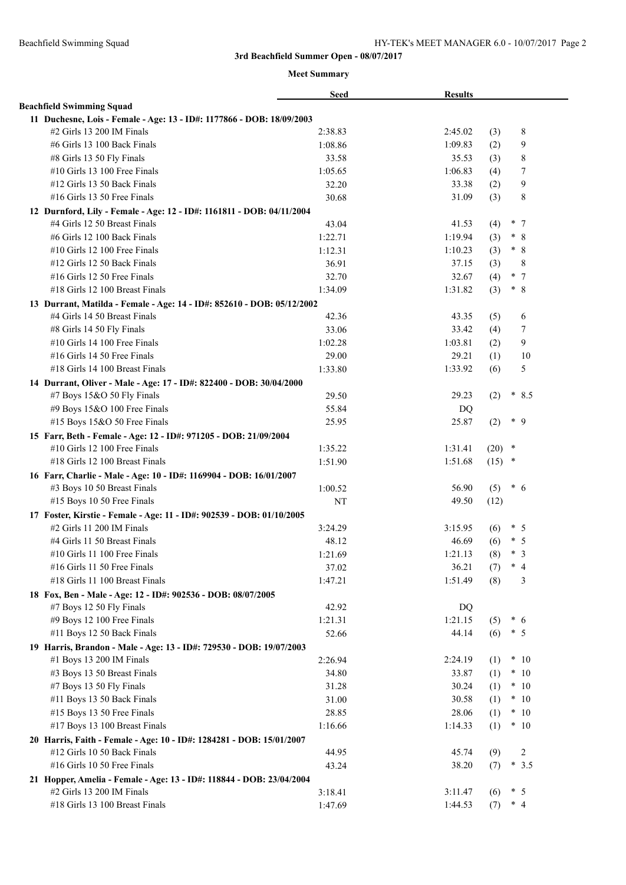|                                                                        | <b>Seed</b> | <b>Results</b> |          |        |                |
|------------------------------------------------------------------------|-------------|----------------|----------|--------|----------------|
| <b>Beachfield Swimming Squad</b>                                       |             |                |          |        |                |
| 11 Duchesne, Lois - Female - Age: 13 - ID#: 1177866 - DOB: 18/09/2003  |             |                |          |        |                |
| #2 Girls 13 200 IM Finals                                              | 2:38.83     | 2:45.02        | (3)      |        | 8              |
| #6 Girls 13 100 Back Finals                                            | 1:08.86     | 1:09.83        | (2)      |        | 9              |
| #8 Girls 13 50 Fly Finals                                              | 33.58       | 35.53          | (3)      |        | $\,$ $\,$      |
| #10 Girls 13 100 Free Finals                                           | 1:05.65     | 1:06.83        | (4)      |        | 7              |
| #12 Girls 13 50 Back Finals                                            | 32.20       | 33.38          | (2)      |        | $\overline{9}$ |
| $#16$ Girls 13 50 Free Finals                                          | 30.68       | 31.09          | (3)      |        | 8              |
| 12 Durnford, Lily - Female - Age: 12 - ID#: 1161811 - DOB: 04/11/2004  |             |                |          |        |                |
| #4 Girls 12 50 Breast Finals                                           | 43.04       | 41.53          | (4)      |        | $*$ 7          |
| #6 Girls 12 100 Back Finals                                            | 1:22.71     | 1:19.94        | (3)      | $\ast$ | 8              |
| #10 Girls 12 100 Free Finals                                           | 1:12.31     | 1:10.23        | (3)      |        | $* 8$          |
| #12 Girls 12 50 Back Finals                                            | 36.91       | 37.15          | (3)      |        | 8              |
| #16 Girls 12 50 Free Finals                                            | 32.70       | 32.67          | (4)      |        | $*$ 7          |
| #18 Girls 12 100 Breast Finals                                         | 1:34.09     | 1:31.82        | (3)      |        | $*8$           |
| 13 Durrant, Matilda - Female - Age: 14 - ID#: 852610 - DOB: 05/12/2002 |             |                |          |        |                |
| #4 Girls 14 50 Breast Finals                                           | 42.36       | 43.35          | (5)      |        | 6              |
| #8 Girls 14 50 Fly Finals                                              | 33.06       | 33.42          | (4)      |        | 7              |
| #10 Girls 14 100 Free Finals                                           | 1:02.28     | 1:03.81        | (2)      |        | 9              |
| #16 Girls 14 50 Free Finals                                            | 29.00       | 29.21          | (1)      |        | 10             |
| #18 Girls 14 100 Breast Finals                                         | 1:33.80     | 1:33.92        | (6)      |        | 5              |
| 14 Durrant, Oliver - Male - Age: 17 - ID#: 822400 - DOB: 30/04/2000    |             |                |          |        |                |
| #7 Boys 15&O 50 Fly Finals                                             | 29.50       | 29.23          | (2)      | $\ast$ | 8.5            |
| #9 Boys 15&O 100 Free Finals                                           | 55.84       | DQ             |          |        |                |
| #15 Boys 15&O 50 Free Finals                                           | 25.95       | 25.87          | (2)      |        | $*$ 9          |
| 15 Farr, Beth - Female - Age: 12 - ID#: 971205 - DOB: 21/09/2004       |             |                |          |        |                |
| #10 Girls 12 100 Free Finals                                           | 1:35.22     | 1:31.41        | (20)     | $\ast$ |                |
| #18 Girls 12 100 Breast Finals                                         | 1:51.90     | 1:51.68        | $(15)$ * |        |                |
| 16 Farr, Charlie - Male - Age: 10 - ID#: 1169904 - DOB: 16/01/2007     |             |                |          |        |                |
| #3 Boys 10 50 Breast Finals                                            | 1:00.52     | 56.90          | (5)      |        | $*$ 6          |
| #15 Boys 10 50 Free Finals                                             | <b>NT</b>   | 49.50          | (12)     |        |                |
| 17 Foster, Kirstie - Female - Age: 11 - ID#: 902539 - DOB: 01/10/2005  |             |                |          |        |                |
| #2 Girls 11 200 IM Finals                                              | 3:24.29     | 3:15.95        | (6)      |        | $*$ 5          |
| #4 Girls 11 50 Breast Finals                                           | 48.12       | 46.69          | (6)      | $\ast$ | -5             |
| $#10$ Girls 11 100 Free Finals                                         | 1:21.69     | 1:21.13        | (8)      | $\ast$ | $\overline{3}$ |
| #16 Girls 11 50 Free Finals                                            | 37.02       | 36.21          | (7)      |        | $*$ 4          |
| #18 Girls 11 100 Breast Finals                                         | 1:47.21     | 1:51.49        | (8)      |        | 3              |
| 18 Fox, Ben - Male - Age: 12 - ID#: 902536 - DOB: 08/07/2005           |             |                |          |        |                |
| #7 Boys 12 50 Fly Finals                                               | 42.92       | DQ             |          |        |                |
| #9 Boys 12 100 Free Finals                                             | 1:21.31     | 1:21.15        | (5)      |        | $*$ 6          |
| #11 Boys 12 50 Back Finals                                             | 52.66       | 44.14          | (6)      |        | $*$ 5          |
| 19 Harris, Brandon - Male - Age: 13 - ID#: 729530 - DOB: 19/07/2003    |             |                |          |        |                |
| #1 Boys 13 200 IM Finals                                               | 2:26.94     | 2:24.19        | (1)      |        | $*10$          |
| #3 Boys 13 50 Breast Finals                                            | 34.80       | 33.87          | (1)      |        | $*10$          |
| #7 Boys 13 50 Fly Finals                                               | 31.28       | 30.24          | (1)      |        | $*10$          |
| #11 Boys 13 50 Back Finals                                             | 31.00       | 30.58          | (1)      |        | $*10$          |
| #15 Boys 13 50 Free Finals                                             | 28.85       | 28.06          | (1)      |        | $*10$          |
| #17 Boys 13 100 Breast Finals                                          | 1:16.66     | 1:14.33        | (1)      |        | $*10$          |
| 20 Harris, Faith - Female - Age: 10 - ID#: 1284281 - DOB: 15/01/2007   |             |                |          |        |                |
| #12 Girls 10 50 Back Finals                                            | 44.95       | 45.74          | (9)      |        | 2              |
| #16 Girls 10 50 Free Finals                                            | 43.24       | 38.20          | (7)      |        | $*3.5$         |
| 21 Hopper, Amelia - Female - Age: 13 - ID#: 118844 - DOB: 23/04/2004   |             |                |          |        |                |
| #2 Girls 13 200 IM Finals                                              | 3:18.41     | 3:11.47        | (6)      |        | $*$ 5          |
| #18 Girls 13 100 Breast Finals                                         | 1:47.69     | 1:44.53        | (7)      |        | $*$ 4          |
|                                                                        |             |                |          |        |                |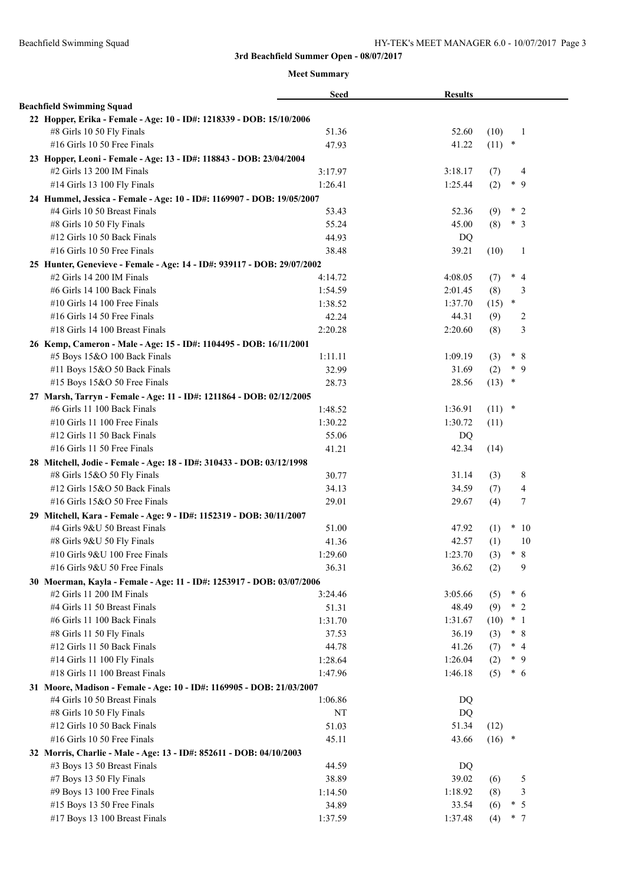|                                                                         | <b>Seed</b> | <b>Results</b> |                       |
|-------------------------------------------------------------------------|-------------|----------------|-----------------------|
| <b>Beachfield Swimming Squad</b>                                        |             |                |                       |
| 22 Hopper, Erika - Female - Age: 10 - ID#: 1218339 - DOB: 15/10/2006    |             |                |                       |
| #8 Girls 10 50 Fly Finals                                               | 51.36       | 52.60          | (10)<br>-1            |
| #16 Girls 10 50 Free Finals                                             | 47.93       | 41.22          | $(11)$ *              |
| 23 Hopper, Leoni - Female - Age: 13 - ID#: 118843 - DOB: 23/04/2004     |             |                |                       |
| $#2$ Girls 13 200 IM Finals                                             | 3:17.97     | 3:18.17        | (7)<br>4              |
| #14 Girls 13 100 Fly Finals                                             | 1:26.41     | 1:25.44        | $*$ 9<br>(2)          |
| 24 Hummel, Jessica - Female - Age: 10 - ID#: 1169907 - DOB: 19/05/2007  |             |                |                       |
| #4 Girls 10 50 Breast Finals                                            | 53.43       | 52.36          | (9)<br>$*2$           |
| #8 Girls 10 50 Fly Finals                                               | 55.24       | 45.00          | (8)<br>$\ast$<br>3    |
| #12 Girls 10 50 Back Finals                                             | 44.93       | DQ             |                       |
| #16 Girls 10 50 Free Finals                                             | 38.48       | 39.21          | (10)<br>-1            |
| 25 Hunter, Genevieve - Female - Age: 14 - ID#: 939117 - DOB: 29/07/2002 |             |                |                       |
| $#2$ Girls 14 200 IM Finals                                             | 4:14.72     | 4:08.05        | $*$ 4<br>(7)          |
| #6 Girls 14 100 Back Finals                                             | 1:54.59     | 2:01.45        | (8)<br>3              |
| #10 Girls 14 100 Free Finals                                            | 1:38.52     | 1:37.70        | $\ast$<br>(15)        |
| $#16$ Girls 14 50 Free Finals                                           | 42.24       | 44.31          | (9)<br>2              |
| #18 Girls 14 100 Breast Finals                                          | 2:20.28     | 2:20.60        | 3<br>(8)              |
| 26 Kemp, Cameron - Male - Age: 15 - ID#: 1104495 - DOB: 16/11/2001      |             |                |                       |
| #5 Boys 15&O 100 Back Finals                                            | 1:11.11     | 1:09.19        | $\ast$<br>(3)<br>-8   |
| #11 Boys 15&O 50 Back Finals                                            | 32.99       | 31.69          | $\ast$<br>9<br>(2)    |
| #15 Boys 15&O 50 Free Finals                                            | 28.73       | 28.56          | (13)<br>$\ast$        |
| 27 Marsh, Tarryn - Female - Age: 11 - ID#: 1211864 - DOB: 02/12/2005    |             |                |                       |
| #6 Girls 11 100 Back Finals                                             | 1:48.52     | 1:36.91        | $(11)$ *              |
| #10 Girls 11 100 Free Finals                                            | 1:30.22     | 1:30.72        | (11)                  |
| #12 Girls 11 50 Back Finals                                             | 55.06       | DQ             |                       |
| $#16$ Girls 11 50 Free Finals                                           | 41.21       | 42.34          | (14)                  |
| 28 Mitchell, Jodie - Female - Age: 18 - ID#: 310433 - DOB: 03/12/1998   |             |                |                       |
| #8 Girls 15&O 50 Fly Finals                                             | 30.77       | 31.14          | 8<br>(3)              |
| #12 Girls 15&O 50 Back Finals                                           | 34.13       | 34.59          | $\overline{4}$<br>(7) |
| #16 Girls 15&O 50 Free Finals                                           | 29.01       | 29.67          | 7<br>(4)              |
| 29 Mitchell, Kara - Female - Age: 9 - ID#: 1152319 - DOB: 30/11/2007    |             |                |                       |
| #4 Girls 9&U 50 Breast Finals                                           | 51.00       | 47.92          | $*10$<br>(1)          |
| #8 Girls 9&U 50 Fly Finals                                              | 41.36       | 42.57          | (1)<br>10             |
| #10 Girls 9&U 100 Free Finals                                           | 1:29.60     | 1:23.70        | $\ast$<br>8<br>(3)    |
| #16 Girls 9&U 50 Free Finals                                            | 36.31       | 36.62          | 9<br>(2)              |
| 30 Moerman, Kayla - Female - Age: 11 - ID#: 1253917 - DOB: 03/07/2006   |             |                |                       |
| $#2$ Girls 11 200 IM Finals                                             | 3:24.46     | 3:05.66        | $* 6$<br>(5)          |
| #4 Girls 11 50 Breast Finals                                            | 51.31       | 48.49          | $*2$<br>(9)           |
| #6 Girls 11 100 Back Finals                                             | 1:31.70     | 1:31.67        | $*1$<br>(10)          |
| #8 Girls 11 50 Fly Finals                                               | 37.53       | 36.19          | $* 8$<br>(3)          |
| #12 Girls 11 50 Back Finals                                             | 44.78       | 41.26          | $*$ 4<br>(7)          |
| #14 Girls 11 100 Fly Finals                                             | 1:28.64     | 1:26.04        | $*$ 9<br>(2)          |
| #18 Girls 11 100 Breast Finals                                          | 1:47.96     | 1:46.18        | $* 6$<br>(5)          |
| 31 Moore, Madison - Female - Age: 10 - ID#: 1169905 - DOB: 21/03/2007   |             |                |                       |
| #4 Girls 10 50 Breast Finals                                            | 1:06.86     | DQ             |                       |
| #8 Girls 10 50 Fly Finals                                               | NT          | DQ             |                       |
| #12 Girls 10 50 Back Finals                                             | 51.03       | 51.34          | (12)                  |
| #16 Girls 10 50 Free Finals                                             | 45.11       | 43.66          | $(16)$ *              |
| 32 Morris, Charlie - Male - Age: 13 - ID#: 852611 - DOB: 04/10/2003     |             |                |                       |
| #3 Boys 13 50 Breast Finals                                             | 44.59       | DQ             |                       |
| #7 Boys 13 50 Fly Finals                                                | 38.89       | 39.02          | 5<br>(6)              |
| #9 Boys 13 100 Free Finals                                              | 1:14.50     | 1:18.92        | 3<br>(8)              |
| #15 Boys 13 50 Free Finals                                              | 34.89       | 33.54          | $\ast$<br>5<br>(6)    |
| #17 Boys 13 100 Breast Finals                                           | 1:37.59     | 1:37.48        | $*$ 7<br>(4)          |